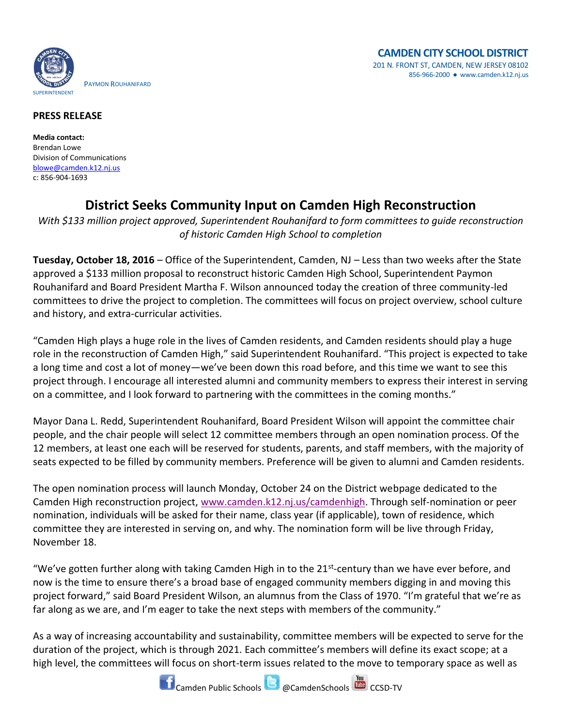

## **PRESS RELEASE**

**Media contact:** Brendan Lowe Division of Communications [blowe@camden.k12.nj.us](mailto:blowe@camden.k12.nj.us) c: 856-904-1693

## **District Seeks Community Input on Camden High Reconstruction**

*With \$133 million project approved, Superintendent Rouhanifard to form committees to guide reconstruction of historic Camden High School to completion*

**Tuesday, October 18, 2016** – Office of the Superintendent, Camden, NJ – Less than two weeks after the State approved a \$133 million proposal to reconstruct historic Camden High School, Superintendent Paymon Rouhanifard and Board President Martha F. Wilson announced today the creation of three community-led committees to drive the project to completion. The committees will focus on project overview, school culture and history, and extra-curricular activities.

"Camden High plays a huge role in the lives of Camden residents, and Camden residents should play a huge role in the reconstruction of Camden High," said Superintendent Rouhanifard. "This project is expected to take a long time and cost a lot of money—we've been down this road before, and this time we want to see this project through. I encourage all interested alumni and community members to express their interest in serving on a committee, and I look forward to partnering with the committees in the coming months."

Mayor Dana L. Redd, Superintendent Rouhanifard, Board President Wilson will appoint the committee chair people, and the chair people will select 12 committee members through an open nomination process. Of the 12 members, at least one each will be reserved for students, parents, and staff members, with the majority of seats expected to be filled by community members. Preference will be given to alumni and Camden residents.

The open nomination process will launch Monday, October 24 on the District webpage dedicated to the Camden High reconstruction project, [www.camden.k12.nj.us/camdenhigh.](http://www.camden.k12.nj.us/apps/pages/index.jsp?uREC_ID=317500&type=d) Through self-nomination or peer nomination, individuals will be asked for their name, class year (if applicable), town of residence, which committee they are interested in serving on, and why. The nomination form will be live through Friday, November 18.

"We've gotten further along with taking Camden High in to the 21<sup>st</sup>-century than we have ever before, and now is the time to ensure there's a broad base of engaged community members digging in and moving this project forward," said Board President Wilson, an alumnus from the Class of 1970. "I'm grateful that we're as far along as we are, and I'm eager to take the next steps with members of the community."

As a way of increasing accountability and sustainability, committee members will be expected to serve for the duration of the project, which is through 2021. Each committee's members will define its exact scope; at a high level, the committees will focus on short-term issues related to the move to temporary space as well as